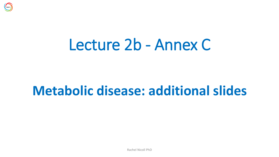

# Lecture 2b - Annex C

## **Metabolic disease: additional slides**

Rachel Nicoll PhD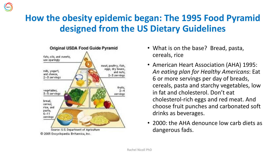#### **How the obesity epidemic began: The 1995 Food Pyramid designed from the US Dietary Guidelines**



C 2005 Encyclopadia Britannica, Inc.

- What is on the base? Bread, pasta, cereals, rice
- American Heart Association (AHA) 1995: *An eating plan for Healthy Americans*: Eat 6 or more servings per day of breads, cereals, pasta and starchy vegetables, low in fat and cholesterol. Don't eat cholesterol-rich eggs and red meat. And choose fruit punches and carbonated soft drinks as beverages.
- 2000: the AHA denounce low carb diets as dangerous fads.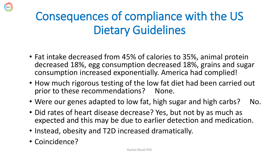## Consequences of compliance with the US Dietary Guidelines

- Fat intake decreased from 45% of calories to 35%, animal protein decreased 18%, egg consumption decreased 18%, grains and sugar consumption increased exponentially. America had complied!
- How much rigorous testing of the low fat diet had been carried out prior to these recommendations? None.
- Were our genes adapted to low fat, high sugar and high carbs? No.
- Did rates of heart disease decrease? Yes, but not by as much as expected and this may be due to earlier detection and medication.
- Instead, obesity and T2D increased dramatically.
- Coincidence?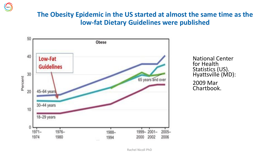#### **The Obesity Epidemic in the US started at almost the same time as the low-fat Dietary Guidelines were published**



G

National Center for Health Statistics (US). Hyattsville (MD): 2009 Mar Chartbook.

Rachel Nicoll PhD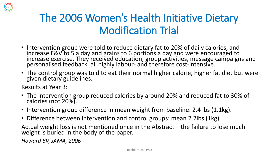

#### The 2006 Women's Health Initiative Dietary Modification Trial

- Intervention group were told to reduce dietary fat to 20% of daily calories, and increase F&V to 5 a day and grains to 6 portions a day and were encouraged to increase exercise. They received education, group activities, message campaigns and personalised feedback, all highly labour- and therefore cost-intensive.
- The control group was told to eat their normal higher calorie, higher fat diet but were given dietary guidelines.

Results at Year 3:

- The intervention group reduced calories by around 20% and reduced fat to 30% of calories (not 20%).
- Intervention group difference in mean weight from baseline: 2.4 lbs (1.1kg).
- Difference between intervention and control groups: mean 2.2lbs (1kg).

Actual weight loss is not mentioned once in the Abstract – the failure to lose much weight is buried in the body of the paper.

*Howard BV, JAMA, 2006*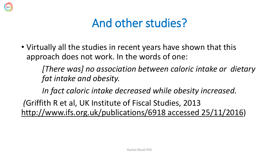

#### And other studies?

• Virtually all the studies in recent years have shown that this approach does not work. In the words of one:

*[There was] no association between caloric intake or dietary fat intake and obesity.* 

*In fact caloric intake decreased while obesity increased.*

*(*Griffith R et al, UK Institute of Fiscal Studies, 2013 [http://www.ifs.org.uk/publications/6918 accessed 25/11/2016](http://www.ifs.org.uk/publications/6918%20accessed%2025/11/2016))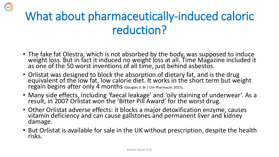#### What about pharmaceutically-induced caloric reduction?

- The fake fat Olestra, which is not absorbed by the body, was supposed to induce weight loss. But in fact it induced no weight loss at all. Time Magazine included it as one of the 50 worst inventions of all time, just behind asbestos.
- Orlistat was designed to block the absorption of dietary fat, and is the drug equivalent of the low fat, low calorie diet. It works in the short term but weight regain begins after only 4 months (Douglas IJ. Br J Clin Pharmacol. 2015).
- Many side effects, including 'faecal leakage' and 'oily staining of underwear'. As a result, in 2007 Orlistat won the 'Bitter Pill Award' for the worst drug.
- Other Orlistat adverse effects: it blocks a major detoxification enzyme, causes vitamin deficiency and can cause gallstones and permanent liver and kidney damage.
- But Orlistat is available for sale in the UK without prescription, despite the health risks.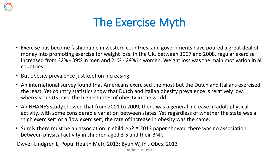

#### The Exercise Myth

- Exercise has become fashionable in western countries, and governments have poured a great deal of money into promoting exercise for weight loss. In the UK, between 1997 and 2008, regular exercise increased from 32% - 39% in men and 21% - 29% in women. Weight loss was the main motivation in all countries.
- But obesity prevalence just kept on increasing.
- An international survey found that Americans exercised the most but the Dutch and Italians exercised the least. Yet country statistics show that Dutch and Italian obesity prevalence is relatively low, whereas the US have the highest rates of obesity in the world.
- An NHANES study showed that from 2001 to 2009, there was a general increase in adult physical activity, with some considerable variation between states. Yet regardless of whether the state was a 'high exerciser' or a 'low exerciser', the rate of increase in obesity was the same.
- Surely there must be an association in children? A 2013 paper showed there was no association between physical activity in children aged 3-5 and their BMI.

Dwyer-Lindgren L, Popul Health Metr, 2013; Byun W, In J Obes, 2013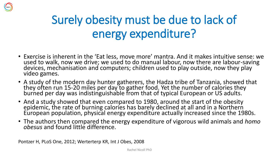

- Exercise is inherent in the 'Eat less, move more' mantra. And it makes intuitive sense: we used to walk, now we drive; we used to do manual labour, now there are labour-saving devices, mechanisation and computers; children used to play outside, now they play video games.
- A study of the modern day hunter gatherers, the Hadza tribe of Tanzania, showed that they often run 15-20 miles per day to gather food. Yet the number of calories they burned per day was indistinguishable from that of typical European or US adults.
- And a study showed that even compared to 1980, around the start of the obesity epidemic, the rate of burning calories has barely declined at all and in a Northern European population, physical energy expenditure actually increased since the 1980s.
- The authors then compared the energy expenditure of vigorous wild animals and *homo obesus* and found little difference.

Pontzer H, PLoS One, 2012; Werterterp KR, Int J Obes, 2008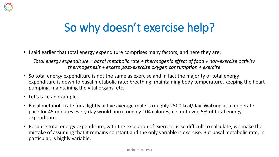

• I said earlier that total energy expenditure comprises many factors, and here they are:

*Total energy expenditure = basal metabolic rate + thermogenic effect of food + non-exercise activity thermogenesis + excess post-exercise oxygen consumption + exercise*

- So total energy expenditure is not the same as exercise and in fact the majority of total energy expenditure is down to basal metabolic rate: breathing, maintaining body temperature, keeping the heart pumping, maintaining the vital organs, etc.
- Let's take an example.
- Basal metabolic rate for a lightly active average male is roughly 2500 kcal/day. Walking at a moderate pace for 45 minutes every day would burn roughly 104 calories, i.e. not even 5% of total energy expenditure.
- Because total energy expenditure, with the exception of exercise, is so difficult to calculate, we make the mistake of assuming that it remains constant and the only variable is exercise. But basal metabolic rate, in particular, is highly variable.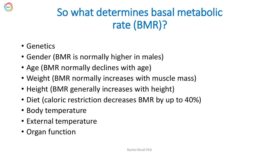#### So what determines basal metabolic rate (BMR)?

- Genetics
- Gender (BMR is normally higher in males)
- Age (BMR normally declines with age)
- Weight (BMR normally increases with muscle mass)
- Height (BMR generally increases with height)
- Diet (caloric restriction decreases BMR by up to 40%)
- Body temperature
- External temperature
- Organ function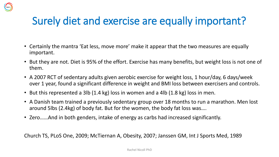#### Surely diet and exercise are equally important?

- Certainly the mantra 'Eat less, move more' make it appear that the two measures are equally important.
- But they are not. Diet is 95% of the effort. Exercise has many benefits, but weight loss is not one of them.
- A 2007 RCT of sedentary adults given aerobic exercise for weight loss, 1 hour/day, 6 days/week over 1 year, found a significant difference in weight and BMI loss between exercisers and controls.
- But this represented a 3lb (1.4 kg) loss in women and a 4lb (1.8 kg) loss in men.
- A Danish team trained a previously sedentary group over 18 months to run a marathon. Men lost around 5lbs (2.4kg) of body fat. But for the women, the body fat loss was….
- Zero……And in both genders, intake of energy as carbs had increased significantly.

Church TS, PLoS One, 2009; McTiernan A, Obesity, 2007; Janssen GM, Int J Sports Med, 1989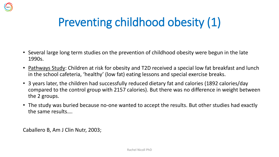## Preventing childhood obesity (1)

- Several large long term studies on the prevention of childhood obesity were begun in the late 1990s.
- Pathways Study: Children at risk for obesity and T2D received a special low fat breakfast and lunch in the school cafeteria, 'healthy' (low fat) eating lessons and special exercise breaks.
- 3 years later, the children had successfully reduced dietary fat and calories (1892 calories/day compared to the control group with 2157 calories). But there was no difference in weight between the 2 groups.
- The study was buried because no-one wanted to accept the results. But other studies had exactly the same results….

Caballero B, Am J Clin Nutr, 2003;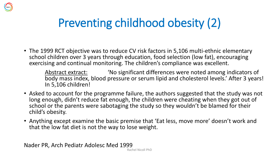

## Preventing childhood obesity (2)

• The 1999 RCT objective was to reduce CV risk factors in 5,106 multi-ethnic elementary school children over 3 years through education, food selection (low fat), encouraging exercising and continual monitoring. The children's compliance was excellent.

Abstract extract: 'No significant differences were noted among indicators of body mass index, blood pressure or serum lipid and cholesterol levels.' After 3 years! In 5,106 children!

- Asked to account for the programme failure, the authors suggested that the study was not long enough, didn't reduce fat enough, the children were cheating when they got out of school or the parents were sabotaging the study so they wouldn't be blamed for their child's obesity.
- Anything except examine the basic premise that 'Eat less, move more' doesn't work and that the low fat diet is not the way to lose weight.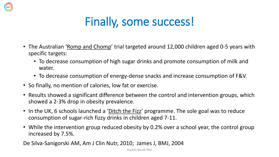

- The Australian 'Romp and Chomp' trial targeted around 12,000 children aged 0-5 years with specific targets:
	- To decrease consumption of high sugar drinks and promote consumption of milk and water.
	- To decrease consumption of energy-dense snacks and increase consumption of F&V.
- So finally, no mention of calories, low fat or exercise.
- Results showed a significant difference between the control and intervention groups, which showed a 2-3% drop in obesity prevalence.
- In the UK, 6 schools launched a 'Ditch the Fizz' programme. The sole goal was to reduce consumption of sugar-rich fizzy drinks in children aged 7-11.
- While the intervention group reduced obesity by 0.2% over a school year, the control group increased by 7.5%.

De Silva-Sanigorski AM, Am J Clin Nutr, 2010; James J, BMJ, 2004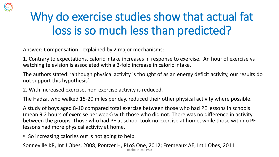## Why do exercise studies show that actual fat loss is so much less than predicted?

Answer: Compensation - explained by 2 major mechanisms:

1. Contrary to expectations, caloric intake increases in response to exercise. An hour of exercise vs watching television is associated with a 3-fold increase in caloric intake.

The authors stated: 'although physical activity is thought of as an energy deficit activity, our results do not support this hypothesis'.

2. With increased exercise, non-exercise activity is reduced.

The Hadza, who walked 15-20 miles per day, reduced their other physical activity where possible.

A study of boys aged 8-10 compared total exercise between those who had PE lessons in schools (mean 9.2 hours of exercise per week) with those who did not. There was no difference in activity between the groups. Those who had PE at school took no exercise at home, while those with no PE lessons had more physical activity at home.

• So increasing calories out is not going to help.

Sonneville KR, Int J Obes, 2008; Pontzer H, PLoS One, 2012; Fremeaux AE, Int J Obes, 2011 Rachel Nicoll PhD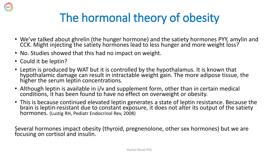## The hormonal theory of obesity

- We've talked about ghrelin (the hunger hormone) and the satiety hormones PYY, amylin and CCK. Might injecting the satiety hormones lead to less hunger and more weight loss?
- No. Studies showed that this had no impact on weight.
- Could it be leptin?
- Leptin is produced by WAT but it is controlled by the hypothalamus. It is known that hypothalamic damage can result in intractable weight gain. The more adipose tissue, the higher the serum leptin concentrations.
- Although leptin is available in i/v and supplement form, other than in certain medical conditions, it has been found to have no effect on overweight or obesity.
- This is because continued elevated leptin generates a state of leptin resistance. Because the brain is leptin-resistant due to constant exposure, it does not alter its output of the satiety hormones. (Lustig RH, Pediatr Endocrinol Rev, 2008)

Several hormones impact obesity (thyroid, pregnenolone, other sex hormones) but we are focusing on cortisol and insulin.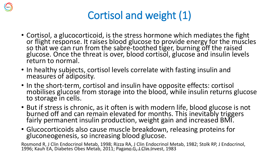

#### Cortisol and weight (1)

- Cortisol, a glucocorticoid, is the stress hormone which mediates the fight or flight response. It raises blood glucose to provide energy for the muscles so that we can run from the sabre-toothed tiger, burning off the raised glucose. Once the threat is over, blood cortisol, glucose and insulin levels return to normal.
- In healthy subjects, cortisol levels correlate with fasting insulin and measures of adiposity.
- In the short-term, cortisol and insulin have opposite effects: cortisol mobilises glucose from storage into the blood, while insulin returns glucose to storage in cells.
- But if stress is chronic, as it often is with modern life, blood glucose is not burned off and can remain elevated for months. This inevitably triggers fairly permanent insulin production, weight gain and increased BMI.
- Glucocorticoids also cause muscle breakdown, releasing proteins for gluconeogenesis, so increasing blood glucose.

Rosmond R, J Clin Endocrinol Metab, 1998; Rizza RA, J Clin Endocrinol Metab, 1982; Stolk RP, J Endocrinol, 1996; Kauh EA, Diabetes Obes Metab, 2011; Pagano G, J, Glin Invest, 1983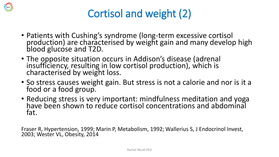

#### Cortisol and weight (2)

- Patients with Cushing's syndrome (long-term excessive cortisol production) are characterised by weight gain and many develop high blood glucose and T2D.
- The opposite situation occurs in Addison's disease (adrenal insufficiency, resulting in low cortisol production), which is characterised by weight loss.
- So stress causes weight gain. But stress is not a calorie and nor is it a food or a food group.
- Reducing stress is very important: mindfulness meditation and yoga have been shown to reduce cortisol concentrations and abdominal fat.

Fraser R, Hypertension, 1999; Marin P, Metabolism, 1992; Wallerius S, J Endocrinol Invest, 2003; Wester VL, Obesity, 2014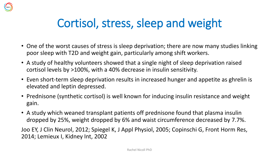

#### Cortisol, stress, sleep and weight

- One of the worst causes of stress is sleep deprivation; there are now many studies linking poor sleep with T2D and weight gain, particularly among shift workers.
- A study of healthy volunteers showed that a single night of sleep deprivation raised cortisol levels by >100%, with a 40% decrease in insulin sensitivity.
- Even short-term sleep deprivation results in increased hunger and appetite as ghrelin is elevated and leptin depressed.
- Prednisone (synthetic cortisol) is well known for inducing insulin resistance and weight gain.
- A study which weaned transplant patients off prednisone found that plasma insulin dropped by 25%, weight dropped by 6% and waist circumference decreased by 7.7%.

Joo EY, J Clin Neurol, 2012; Spiegel K, J Appl Physiol, 2005; Copinschi G, Front Horm Res, 2014; Lemieux I, Kidney Int, 2002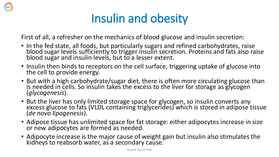## Insulin and obesity

First of all, a refresher on the mechanics of blood glucose and insulin secretion:

- In the fed state, all foods, but particularly sugars and refined carbohydrates, raise blood sugar levels sufficiently to trigger insulin secretion. Proteins and fats also raise blood sugar and insulin levels, but to a lesser extent.
- Insulin then binds to receptors on the cell surface, triggering uptake of glucose into the cell to provide energy.
- But with a high carbohydrate/sugar diet, there is often more circulating glucose than is needed in cells. So insulin takes the excess to the liver for storage as glycogen (*glycogenesis*).
- But the liver has only limited storage space for glycogen, so insulin converts any excess glucose to fats (VLDL containing triglycerides) which is stored in adipose tissue (*de novo lipogenesis*).
- Adipose tissue has unlimited space for fat storage: either adipocytes increase in size or new adipocytes are formed as needed.
- Adipocyte increase is the major cause of weight gain but insulin also stimulates the kidneys to reabsorb water, as a secondary cause.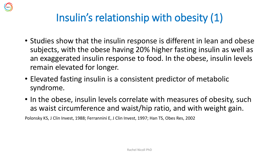#### Insulin's relationship with obesity (1)

- Studies show that the insulin response is different in lean and obese subjects, with the obese having 20% higher fasting insulin as well as an exaggerated insulin response to food. In the obese, insulin levels remain elevated for longer.
- Elevated fasting insulin is a consistent predictor of metabolic syndrome.
- In the obese, insulin levels correlate with measures of obesity, such as waist circumference and waist/hip ratio, and with weight gain.

Polonsky KS, J Clin Invest, 1988; Ferrannini E, J Clin Invest, 1997; Han TS, Obes Res, 2002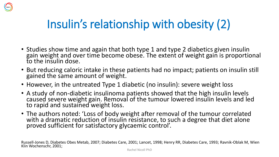

## Insulin's relationship with obesity (2)

- Studies show time and again that both type 1 and type 2 diabetics given insulin gain weight and over time become obese. The extent of weight gain is proportional to the insulin dose.
- But reducing caloric intake in these patients had no impact; patients on insulin still gained the same amount of weight.
- However, in the untreated Type 1 diabetic (no insulin): severe weight loss
- A study of non-diabetic insulinoma patients showed that the high insulin levels caused severe weight gain. Removal of the tumour lowered insulin levels and led to rapid and sustained weight loss.
- The authors noted: 'Loss of body weight after removal of the tumour correlated with a dramatic reduction of insulin resistance, to such a degree that diet alone proved sufficient for satisfactory glycaemic control'.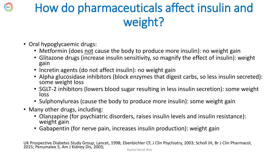## How do pharmaceuticals affect insulin and weight?

- Oral hypoglycaemic drugs:
	- Metformin (does not cause the body to produce more insulin): no weight gain
	- Glitazone drugs (increase insulin sensitivity, so magnify the effect of insulin): weight gain
	- Incretin agents (do not affect insulin): no weight gain
	- Alpha glucosidase inhibitors (block enzymes that digest carbs, so less insulin secreted): some weight loss
	- SGLT-2 inhibitors (lowers blood sugar resulting in less insulin secretion): some weight loss
	- Sulphonylureas (cause the body to produce more insulin): some weight gain
- Many other drugs, including:
	- Olanzapine (for psychiatric disorders, raises insulin levels and insulin resistance): weight gain
	- Gabapentin (for nerve pain, increases insulin production): weight gain

UK Prospective Diabetes Study Group, Lancet, 1998; Ebenbichler CF, J Clin Psychiatry, 2003; Scholl JH, Br J Clin Pharmacol, 2015; Penumalee S, Am J Kidney Dis, 2003; Rachel Nicoll PhD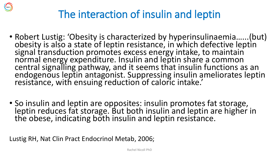

#### The interaction of insulin and leptin

- Robert Lustig: 'Obesity is characterized by hyperinsulinaemia…...(but) obesity is also a state of leptin resistance, in which defective leptin signal transduction promotes excess energy intake, to maintain normal energy expenditure. Insulin and leptin share a common central signalling pathway, and it seems that insulin functions as an endogenous leptin antagonist. Suppressing insulin ameliorates leptin resistance, with ensuing reduction of caloric intake.'
- So insulin and leptin are opposites: insulin promotes fat storage, leptin reduces fat storage. But both insulin and leptin are higher in the obese, indicating both insulin and leptin resistance.

Lustig RH, Nat Clin Pract Endocrinol Metab, 2006;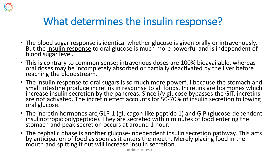#### What determines the insulin response?

- The blood sugar response is identical whether glucose is given orally or intravenously. But the insulin response to oral glucose is much more powerful and is independent of blood sugar level.
- This is contrary to common sense; intravenous doses are 100% bioavailable, whereas oral doses may be incompletely absorbed or partially deactivated by the liver before reaching the bloodstream.
- The insulin response to oral sugars is so much more powerful because the stomach and small intestine produce incretins in response to all foods. Incretins are hormones which increase insulin secretion by the pancreas. Since i/v glucose bypasses the GIT, incretins are not activated. The incretin effect accounts for 50-70% of insulin secretion following oral glucose.
- The incretin hormones are GLP-1 (glucagon-like peptide 1) and GIP (glucose-dependent insulinotropic polypeptide). They are secreted within minutes of food entering the stomach and peak secretion occurs at around 1 hour.
- The cephalic phase is another glucose-independent insulin secretion pathway. This acts by anticipation of food as soon as it enters the mouth. Merely placing food in the mouth and spitting it out will increase insulin secretion.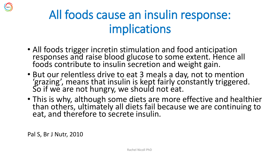

- All foods trigger incretin stimulation and food anticipation responses and raise blood glucose to some extent. Hence all foods contribute to insulin secretion and weight gain.
- But our relentless drive to eat 3 meals a day, not to mention 'grazing', means that insulin is kept fairly constantly triggered. So if we are not hungry, we should not eat.
- This is why, although some diets are more effective and healthier than others, ultimately all diets fail because we are continuing to eat, and therefore to secrete insulin.

Pal S, Br J Nutr, 2010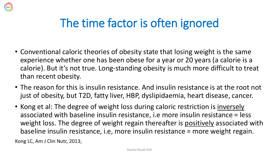

## The time factor is often ignored

- Conventional caloric theories of obesity state that losing weight is the same experience whether one has been obese for a year or 20 years (a calorie is a calorie). But it's not true. Long-standing obesity is much more difficult to treat than recent obesity.
- The reason for this is insulin resistance. And insulin resistance is at the root not just of obesity, but T2D, fatty liver, HBP, dyslipidaemia, heart disease, cancer.
- Kong et al: The degree of weight loss during caloric restriction is inversely associated with baseline insulin resistance, i.e more insulin resistance = less weight loss. The degree of weight regain thereafter is positively associated with baseline insulin resistance, i.e, more insulin resistance = more weight regain.

Kong LC, Am J Clin Nutr, 2013;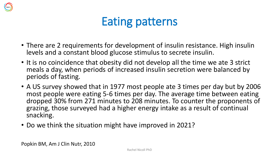

- There are 2 requirements for development of insulin resistance. High insulin levels and a constant blood glucose stimulus to secrete insulin.
- It is no coincidence that obesity did not develop all the time we ate 3 strict meals a day, when periods of increased insulin secretion were balanced by periods of fasting.
- A US survey showed that in 1977 most people ate 3 times per day but by 2006 most people were eating 5-6 times per day. The average time between eating dropped 30% from 271 minutes to 208 minutes. To counter the proponents of grazing, those surveyed had a higher energy intake as a result of continual snacking.
- Do we think the situation might have improved in 2021?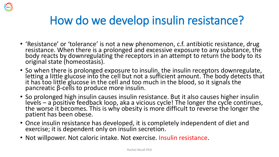

- 'Resistance' or 'tolerance' is not a new phenomenon, c.f. antibiotic resistance, drug resistance. When there is a prolonged and excessive exposure to any substance, the body reacts by downregulating the receptors in an attempt to return the body to its original state (homeostasis).
- So when there is prolonged exposure to insulin, the insulin receptors downregulate, letting a little glucose into the cell but not a sufficient amount. The body detects that it has too little glucose in the cell and too much in the blood, so it signals the pancreatic β-cells to produce more insulin.
- So prolonged high insulin causes insulin resistance. But it also causes higher insulin levels – a positive feedback loop, aka a vicious cycle! The longer the cycle continues, the worse it becomes. This is why obesity is more difficult to reverse the longer the patient has been obese.
- Once insulin resistance has developed, it is completely independent of diet and exercise; it is dependent only on insulin secretion.
- Not willpower. Not caloric intake. Not exercise. Insulin resistance.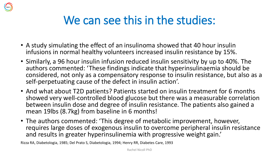

- A study simulating the effect of an insulinoma showed that 40 hour insulin infusions in normal healthy volunteers increased insulin resistance by 15%.
- Similarly, a 96 hour insulin infusion reduced insulin sensitivity by up to 40%. The authors commented: 'These findings indicate that hyperinsulinaemia should be considered, not only as a compensatory response to insulin resistance, but also as a self-perpetuating cause of the defect in insulin action'.
- And what about T2D patients? Patients started on insulin treatment for 6 months showed very well-controlled blood glucose but there was a measurable correlation between insulin dose and degree of insulin resistance. The patients also gained a mean 19lbs (8.7kg) from baseline in 6 months!
- The authors commented: 'This degree of metabolic improvement, however, requires large doses of exogenous insulin to overcome peripheral insulin resistance and results in greater hyperinsulinemia with progressive weight gain.'

Rizza RA, Diabetologia, 1985; Del Prato S, Diabetologia, 1994; Henry RR, Diabetes Care, 1993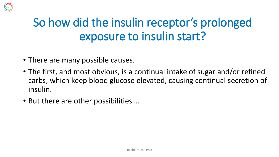## So how did the insulin receptor's prolonged exposure to insulin start?

- There are many possible causes.
- The first, and most obvious, is a continual intake of sugar and/or refined carbs, which keep blood glucose elevated, causing continual secretion of insulin.
- But there are other possibilities….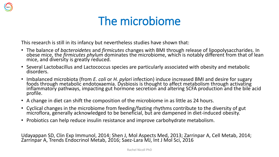#### The microbiome

This research is still in its infancy but nevertheless studies have shown that:

- The balance of *bacteroidetes* and *firmicutes* changes with BMI through release of lipopolysaccharides. In obese mice, the *firmicutes phylum* dominates the microbiome, which is notably different from that of lean mice, and diversity is greatly reduced.
- Several Lactobacillus and Lactococcus species are particularly associated with obesity and metabolic disorders.
- Imbalanced microbiota (from *E. coli* or *H. pylori* infection) induce increased BMI and desire for sugary foods through metabolic endotoxaemia. Dysbiosis is thought to affect metabolism through activating inflammatory pathways, impacting gut hormone secretion and altering SCFA production and the bile acid profile.
- A change in diet can shift the composition of the microbiome in as little as 24 hours.
- Cyclical changes in the microbiome from feeding/fasting rhythms contribute to the diversity of gut microflora, generally acknowledged to be beneficial, but are dampened in diet-induced obesity.
- Probiotics can help reduce insulin resistance and improve carbohydrate metabolism.

Udayappan SD, Clin Exp Immunol, 2014; Shen J, Mol Aspects Med, 2013; Zarrinpar A, Cell Metab, 2014; Zarrinpar A, Trends Endocrinol Metab, 2016; Saez-Lara MJ, Int J Mol Sci, 2016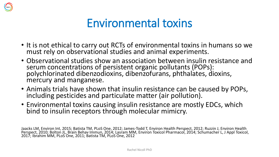

#### Environmental toxins

- It is not ethical to carry out RCTs of environmental toxins in humans so we must rely on observational studies and animal experiments.
- Observational studies show an association between insulin resistance and serum concentrations of persistent organic pollutants (POPs): polychlorinated dibenzodioxins, dibenzofurans, phthalates, dioxins, mercury and manganese.
- Animals trials have shown that insulin resistance can be caused by POPs, including pesticides and particulate matter (air pollution).
- Environmental toxins causing insulin resistance are mostly EDCs, which bind to insulin receptors through molecular mimicry.

Jaacks LM, Environ Int, 2015; Batista TM, PLoS One, 2012; James-Todd T, Environ Health Perspect, 2012; Ruzzin J, Environ Health Perspect, 2010; Bolton JL, Brain Behav Immun, 2014; Lasram MM, Environ Toxicol Pharmacol, 2014; Schumacher L, J Appl Toxicol, 2017; Ibrahim MM, PLoS One, 2011; Batista TM, PLoS One, 2012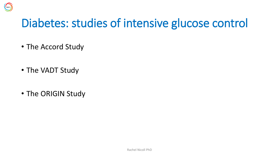#### Diabetes: studies of intensive glucose control

• The Accord Study

**HERT** 

- The VADT Study
- The ORIGIN Study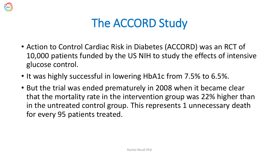

#### The ACCORD Study

- Action to Control Cardiac Risk in Diabetes (ACCORD) was an RCT of 10,000 patients funded by the US NIH to study the effects of intensive glucose control.
- It was highly successful in lowering HbA1c from 7.5% to 6.5%.
- But the trial was ended prematurely in 2008 when it became clear that the mortality rate in the intervention group was 22% higher than in the untreated control group. This represents 1 unnecessary death for every 95 patients treated.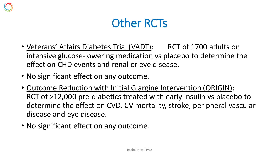

#### Other RCTs

- Veterans' Affairs Diabetes Trial (VADT): RCT of 1700 adults on intensive glucose-lowering medication vs placebo to determine the effect on CHD events and renal or eye disease.
- No significant effect on any outcome.
- Outcome Reduction with Initial Glargine Intervention (ORIGIN): RCT of >12,000 pre-diabetics treated with early insulin vs placebo to determine the effect on CVD, CV mortality, stroke, peripheral vascular disease and eye disease.
- No significant effect on any outcome.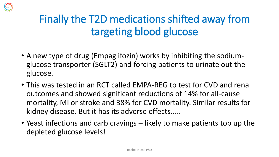

- A new type of drug (Empaglifozin) works by inhibiting the sodiumglucose transporter (SGLT2) and forcing patients to urinate out the glucose.
- This was tested in an RCT called EMPA-REG to test for CVD and renal outcomes and showed significant reductions of 14% for all-cause mortality, MI or stroke and 38% for CVD mortality. Similar results for kidney disease. But it has its adverse effects…..
- Yeast infections and carb cravings likely to make patients top up the depleted glucose levels!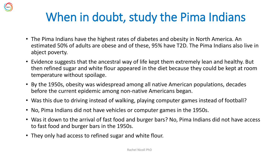## When in doubt, study the Pima Indians

- The Pima Indians have the highest rates of diabetes and obesity in North America. An estimated 50% of adults are obese and of these, 95% have T2D. The Pima Indians also live in abject poverty.
- Evidence suggests that the ancestral way of life kept them extremely lean and healthy. But then refined sugar and white flour appeared in the diet because they could be kept at room temperature without spoilage.
- By the 1950s, obesity was widespread among all native American populations, decades before the current epidemic among non-native Americans began.
- Was this due to driving instead of walking, playing computer games instead of football?
- No, Pima Indians did not have vehicles or computer games in the 1950s.
- Was it down to the arrival of fast food and burger bars? No, Pima Indians did not have access to fast food and burger bars in the 1950s.
- They only had access to refined sugar and white flour.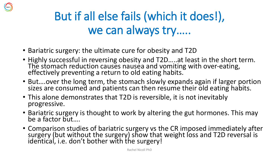

- Bariatric surgery: the ultimate cure for obesity and T2D
- Highly successful in reversing obesity and T2D.....at least in the short term. The stomach reduction causes nausea and vomiting with over-eating, effectively preventing a return to old eating habits.
- But….over the long term, the stomach slowly expands again if larger portion sizes are consumed and patients can then resume their old eating habits.
- This alone demonstrates that T2D is reversible, it is not inevitably progressive.
- Bariatric surgery is thought to work by altering the gut hormones. This may be a factor but….
- Comparison studies of bariatric surgery vs the CR imposed immediately after surgery (but without the surgery) show that weight loss and T2D reversal is identical, i.e. don't bother with the surgery!